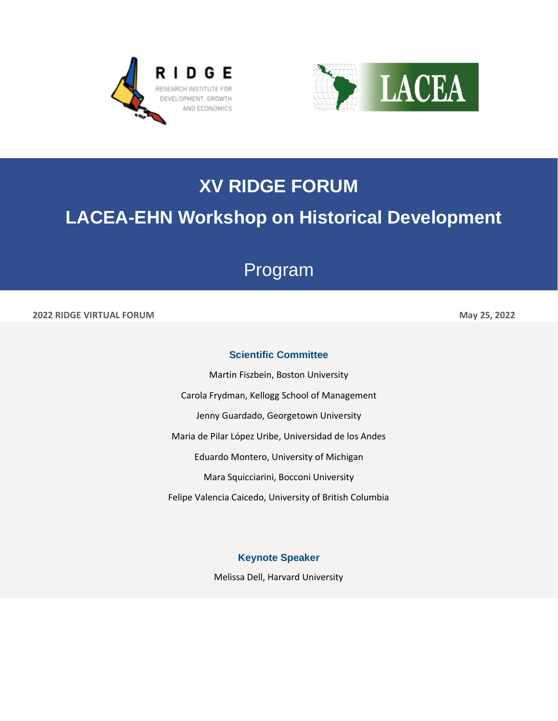



# **XV RIDGE FORUM**

## **LACEA-EHN Workshop on Historical Development**

## Program

#### **2022 RIDGE VIRTUAL FORUM May 25, 2022**

### **Scientific Committee**

Martin Fiszbein, Boston University Carola Frydman, Kellogg School of Management Jenny Guardado, Georgetown University Maria de Pilar López Uribe, Universidad de los Andes Eduardo Montero, University of Michigan Mara Squicciarini, Bocconi University Felipe Valencia Caicedo, University of British Columbia

**Keynote Speaker** 

Melissa Dell, Harvard University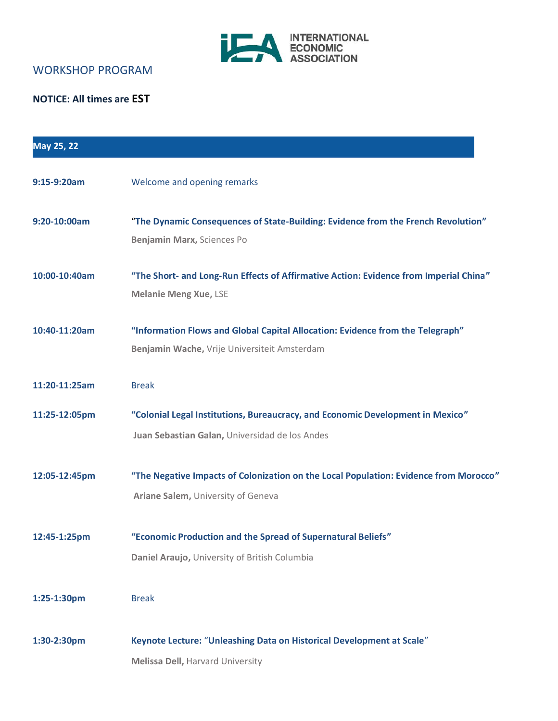

### WORKSHOP PROGRAM

### **NOTICE: All times are EST**

| May 25, 22    |                                                                                                                                  |
|---------------|----------------------------------------------------------------------------------------------------------------------------------|
| 9:15-9:20am   | Welcome and opening remarks                                                                                                      |
| 9:20-10:00am  | "The Dynamic Consequences of State-Building: Evidence from the French Revolution"<br>Benjamin Marx, Sciences Po                  |
| 10:00-10:40am | "The Short- and Long-Run Effects of Affirmative Action: Evidence from Imperial China"<br><b>Melanie Meng Xue, LSE</b>            |
| 10:40-11:20am | "Information Flows and Global Capital Allocation: Evidence from the Telegraph"<br>Benjamin Wache, Vrije Universiteit Amsterdam   |
| 11:20-11:25am | <b>Break</b>                                                                                                                     |
| 11:25-12:05pm | "Colonial Legal Institutions, Bureaucracy, and Economic Development in Mexico"<br>Juan Sebastian Galan, Universidad de los Andes |
| 12:05-12:45pm | "The Negative Impacts of Colonization on the Local Population: Evidence from Morocco"<br>Ariane Salem, University of Geneva      |
| 12:45-1:25pm  | "Economic Production and the Spread of Supernatural Beliefs"<br>Daniel Araujo, University of British Columbia                    |
| 1:25-1:30pm   | <b>Break</b>                                                                                                                     |
| 1:30-2:30pm   | Keynote Lecture: "Unleashing Data on Historical Development at Scale"<br><b>Melissa Dell, Harvard University</b>                 |